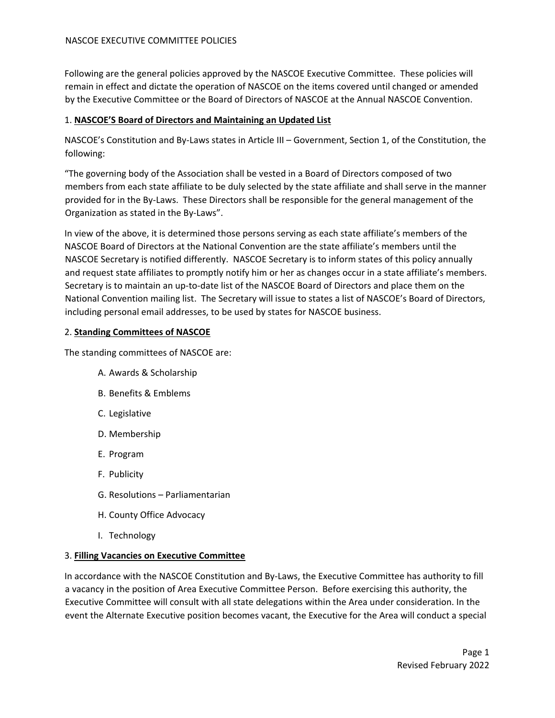Following are the general policies approved by the NASCOE Executive Committee. These policies will remain in effect and dictate the operation of NASCOE on the items covered until changed or amended by the Executive Committee or the Board of Directors of NASCOE at the Annual NASCOE Convention.

# 1. **NASCOE'S Board of Directors and Maintaining an Updated List**

NASCOE's Constitution and By-Laws states in Article III – Government, Section 1, of the Constitution, the following:

"The governing body of the Association shall be vested in a Board of Directors composed of two members from each state affiliate to be duly selected by the state affiliate and shall serve in the manner provided for in the By-Laws. These Directors shall be responsible for the general management of the Organization as stated in the By-Laws".

In view of the above, it is determined those persons serving as each state affiliate's members of the NASCOE Board of Directors at the National Convention are the state affiliate's members until the NASCOE Secretary is notified differently. NASCOE Secretary is to inform states of this policy annually and request state affiliates to promptly notify him or her as changes occur in a state affiliate's members. Secretary is to maintain an up-to-date list of the NASCOE Board of Directors and place them on the National Convention mailing list. The Secretary will issue to states a list of NASCOE's Board of Directors, including personal email addresses, to be used by states for NASCOE business.

# 2. **Standing Committees of NASCOE**

The standing committees of NASCOE are:

- A. Awards & Scholarship
- B. Benefits & Emblems
- C. Legislative
- D. Membership
- E. Program
- F. Publicity
- G. Resolutions Parliamentarian
- H. County Office Advocacy
- I. Technology

# 3. **Filling Vacancies on Executive Committee**

In accordance with the NASCOE Constitution and By-Laws, the Executive Committee has authority to fill a vacancy in the position of Area Executive Committee Person. Before exercising this authority, the Executive Committee will consult with all state delegations within the Area under consideration. In the event the Alternate Executive position becomes vacant, the Executive for the Area will conduct a special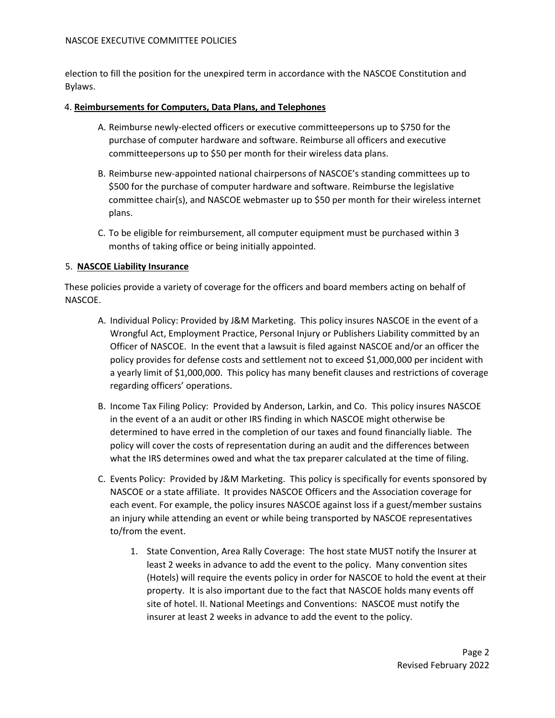#### NASCOE EXECUTIVE COMMITTEE POLICIES

election to fill the position for the unexpired term in accordance with the NASCOE Constitution and Bylaws.

#### 4. **Reimbursements for Computers, Data Plans, and Telephones**

- A. Reimburse newly-elected officers or executive committeepersons up to \$750 for the purchase of computer hardware and software. Reimburse all officers and executive committeepersons up to \$50 per month for their wireless data plans.
- B. Reimburse new-appointed national chairpersons of NASCOE's standing committees up to \$500 for the purchase of computer hardware and software. Reimburse the legislative committee chair(s), and NASCOE webmaster up to \$50 per month for their wireless internet plans.
- C. To be eligible for reimbursement, all computer equipment must be purchased within 3 months of taking office or being initially appointed.

## 5. **NASCOE Liability Insurance**

These policies provide a variety of coverage for the officers and board members acting on behalf of NASCOE.

- A. Individual Policy: Provided by J&M Marketing. This policy insures NASCOE in the event of a Wrongful Act, Employment Practice, Personal Injury or Publishers Liability committed by an Officer of NASCOE. In the event that a lawsuit is filed against NASCOE and/or an officer the policy provides for defense costs and settlement not to exceed \$1,000,000 per incident with a yearly limit of \$1,000,000. This policy has many benefit clauses and restrictions of coverage regarding officers' operations.
- B. Income Tax Filing Policy: Provided by Anderson, Larkin, and Co. This policy insures NASCOE in the event of a an audit or other IRS finding in which NASCOE might otherwise be determined to have erred in the completion of our taxes and found financially liable. The policy will cover the costs of representation during an audit and the differences between what the IRS determines owed and what the tax preparer calculated at the time of filing.
- C. Events Policy: Provided by J&M Marketing. This policy is specifically for events sponsored by NASCOE or a state affiliate. It provides NASCOE Officers and the Association coverage for each event. For example, the policy insures NASCOE against loss if a guest/member sustains an injury while attending an event or while being transported by NASCOE representatives to/from the event.
	- 1. State Convention, Area Rally Coverage: The host state MUST notify the Insurer at least 2 weeks in advance to add the event to the policy. Many convention sites (Hotels) will require the events policy in order for NASCOE to hold the event at their property. It is also important due to the fact that NASCOE holds many events off site of hotel. II. National Meetings and Conventions: NASCOE must notify the insurer at least 2 weeks in advance to add the event to the policy.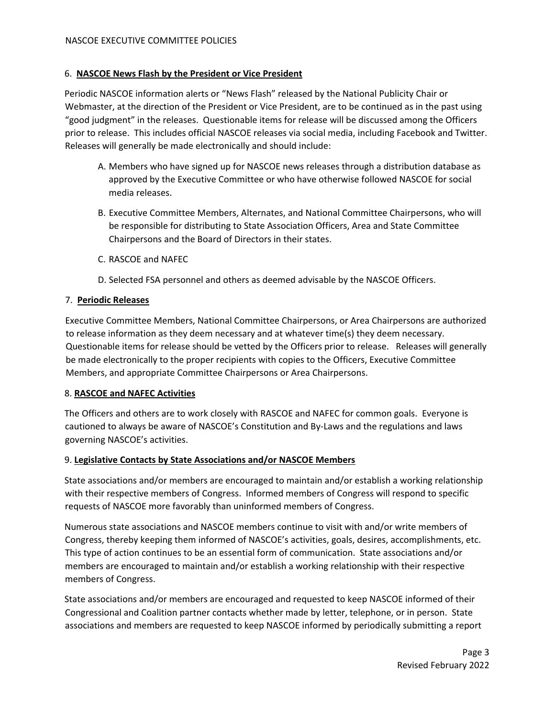# 6. **NASCOE News Flash by the President or Vice President**

Periodic NASCOE information alerts or "News Flash" released by the National Publicity Chair or Webmaster, at the direction of the President or Vice President, are to be continued as in the past using "good judgment" in the releases. Questionable items for release will be discussed among the Officers prior to release. This includes official NASCOE releases via social media, including Facebook and Twitter. Releases will generally be made electronically and should include:

- A. Members who have signed up for NASCOE news releases through a distribution database as approved by the Executive Committee or who have otherwise followed NASCOE for social media releases.
- B. Executive Committee Members, Alternates, and National Committee Chairpersons, who will be responsible for distributing to State Association Officers, Area and State Committee Chairpersons and the Board of Directors in their states.
- C. RASCOE and NAFEC
- D. Selected FSA personnel and others as deemed advisable by the NASCOE Officers.

# 7. **Periodic Releases**

Executive Committee Members, National Committee Chairpersons, or Area Chairpersons are authorized to release information as they deem necessary and at whatever time(s) they deem necessary. Questionable items for release should be vetted by the Officers prior to release. Releases will generally be made electronically to the proper recipients with copies to the Officers, Executive Committee Members, and appropriate Committee Chairpersons or Area Chairpersons.

## 8. **RASCOE and NAFEC Activities**

The Officers and others are to work closely with RASCOE and NAFEC for common goals. Everyone is cautioned to always be aware of NASCOE's Constitution and By-Laws and the regulations and laws governing NASCOE's activities.

## 9. **Legislative Contacts by State Associations and/or NASCOE Members**

State associations and/or members are encouraged to maintain and/or establish a working relationship with their respective members of Congress. Informed members of Congress will respond to specific requests of NASCOE more favorably than uninformed members of Congress.

Numerous state associations and NASCOE members continue to visit with and/or write members of Congress, thereby keeping them informed of NASCOE's activities, goals, desires, accomplishments, etc. This type of action continues to be an essential form of communication. State associations and/or members are encouraged to maintain and/or establish a working relationship with their respective members of Congress.

State associations and/or members are encouraged and requested to keep NASCOE informed of their Congressional and Coalition partner contacts whether made by letter, telephone, or in person. State associations and members are requested to keep NASCOE informed by periodically submitting a report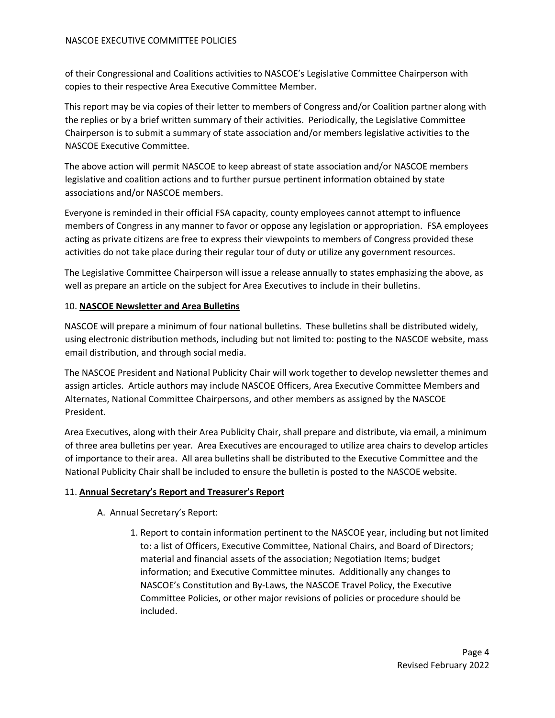#### NASCOE EXECUTIVE COMMITTEE POLICIES

of their Congressional and Coalitions activities to NASCOE's Legislative Committee Chairperson with copies to their respective Area Executive Committee Member.

This report may be via copies of their letter to members of Congress and/or Coalition partner along with the replies or by a brief written summary of their activities. Periodically, the Legislative Committee Chairperson is to submit a summary of state association and/or members legislative activities to the NASCOE Executive Committee.

The above action will permit NASCOE to keep abreast of state association and/or NASCOE members legislative and coalition actions and to further pursue pertinent information obtained by state associations and/or NASCOE members.

Everyone is reminded in their official FSA capacity, county employees cannot attempt to influence members of Congress in any manner to favor or oppose any legislation or appropriation. FSA employees acting as private citizens are free to express their viewpoints to members of Congress provided these activities do not take place during their regular tour of duty or utilize any government resources.

The Legislative Committee Chairperson will issue a release annually to states emphasizing the above, as well as prepare an article on the subject for Area Executives to include in their bulletins.

#### 10. **NASCOE Newsletter and Area Bulletins**

NASCOE will prepare a minimum of four national bulletins. These bulletins shall be distributed widely, using electronic distribution methods, including but not limited to: posting to the NASCOE website, mass email distribution, and through social media.

The NASCOE President and National Publicity Chair will work together to develop newsletter themes and assign articles. Article authors may include NASCOE Officers, Area Executive Committee Members and Alternates, National Committee Chairpersons, and other members as assigned by the NASCOE President.

Area Executives, along with their Area Publicity Chair, shall prepare and distribute, via email, a minimum of three area bulletins per year*.* Area Executives are encouraged to utilize area chairs to develop articles of importance to their area. All area bulletins shall be distributed to the Executive Committee and the National Publicity Chair shall be included to ensure the bulletin is posted to the NASCOE website.

## 11. **Annual Secretary's Report and Treasurer's Report**

## A. Annual Secretary's Report:

1. Report to contain information pertinent to the NASCOE year, including but not limited to: a list of Officers, Executive Committee, National Chairs, and Board of Directors; material and financial assets of the association; Negotiation Items; budget information; and Executive Committee minutes. Additionally any changes to NASCOE's Constitution and By-Laws, the NASCOE Travel Policy, the Executive Committee Policies, or other major revisions of policies or procedure should be included.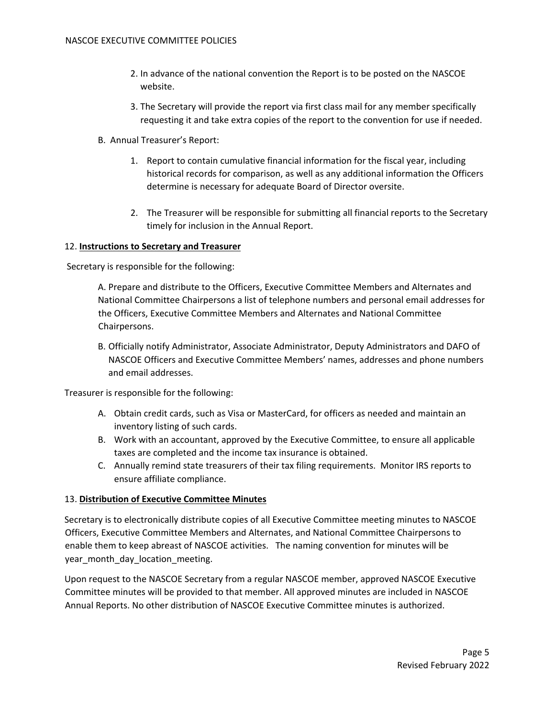- 2. In advance of the national convention the Report is to be posted on the NASCOE website.
- 3. The Secretary will provide the report via first class mail for any member specifically requesting it and take extra copies of the report to the convention for use if needed.
- B. Annual Treasurer's Report:
	- 1. Report to contain cumulative financial information for the fiscal year, including historical records for comparison, as well as any additional information the Officers determine is necessary for adequate Board of Director oversite.
	- 2. The Treasurer will be responsible for submitting all financial reports to the Secretary timely for inclusion in the Annual Report.

#### 12. **Instructions to Secretary and Treasurer**

Secretary is responsible for the following:

A. Prepare and distribute to the Officers, Executive Committee Members and Alternates and National Committee Chairpersons a list of telephone numbers and personal email addresses for the Officers, Executive Committee Members and Alternates and National Committee Chairpersons.

B. Officially notify Administrator, Associate Administrator, Deputy Administrators and DAFO of NASCOE Officers and Executive Committee Members' names, addresses and phone numbers and email addresses.

Treasurer is responsible for the following:

- A. Obtain credit cards, such as Visa or MasterCard, for officers as needed and maintain an inventory listing of such cards.
- B. Work with an accountant, approved by the Executive Committee, to ensure all applicable taxes are completed and the income tax insurance is obtained.
- C. Annually remind state treasurers of their tax filing requirements. Monitor IRS reports to ensure affiliate compliance.

## 13. **Distribution of Executive Committee Minutes**

Secretary is to electronically distribute copies of all Executive Committee meeting minutes to NASCOE Officers, Executive Committee Members and Alternates, and National Committee Chairpersons to enable them to keep abreast of NASCOE activities. The naming convention for minutes will be year month day location meeting.

Upon request to the NASCOE Secretary from a regular NASCOE member, approved NASCOE Executive Committee minutes will be provided to that member. All approved minutes are included in NASCOE Annual Reports. No other distribution of NASCOE Executive Committee minutes is authorized.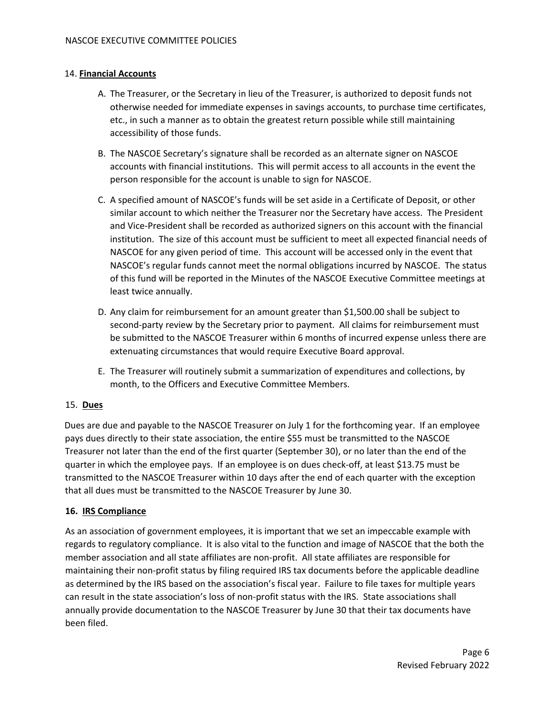# 14. **Financial Accounts**

- A. The Treasurer, or the Secretary in lieu of the Treasurer, is authorized to deposit funds not otherwise needed for immediate expenses in savings accounts, to purchase time certificates, etc., in such a manner as to obtain the greatest return possible while still maintaining accessibility of those funds.
- B. The NASCOE Secretary's signature shall be recorded as an alternate signer on NASCOE accounts with financial institutions. This will permit access to all accounts in the event the person responsible for the account is unable to sign for NASCOE.
- C. A specified amount of NASCOE's funds will be set aside in a Certificate of Deposit, or other similar account to which neither the Treasurer nor the Secretary have access. The President and Vice-President shall be recorded as authorized signers on this account with the financial institution. The size of this account must be sufficient to meet all expected financial needs of NASCOE for any given period of time. This account will be accessed only in the event that NASCOE's regular funds cannot meet the normal obligations incurred by NASCOE. The status of this fund will be reported in the Minutes of the NASCOE Executive Committee meetings at least twice annually.
- D. Any claim for reimbursement for an amount greater than \$1,500.00 shall be subject to second-party review by the Secretary prior to payment. All claims for reimbursement must be submitted to the NASCOE Treasurer within 6 months of incurred expense unless there are extenuating circumstances that would require Executive Board approval.
- E. The Treasurer will routinely submit a summarization of expenditures and collections, by month, to the Officers and Executive Committee Members.

## 15. **Dues**

Dues are due and payable to the NASCOE Treasurer on July 1 for the forthcoming year. If an employee pays dues directly to their state association, the entire \$55 must be transmitted to the NASCOE Treasurer not later than the end of the first quarter (September 30), or no later than the end of the quarter in which the employee pays. If an employee is on dues check-off, at least \$13.75 must be transmitted to the NASCOE Treasurer within 10 days after the end of each quarter with the exception that all dues must be transmitted to the NASCOE Treasurer by June 30.

## **16. IRS Compliance**

As an association of government employees, it is important that we set an impeccable example with regards to regulatory compliance. It is also vital to the function and image of NASCOE that the both the member association and all state affiliates are non-profit. All state affiliates are responsible for maintaining their non-profit status by filing required IRS tax documents before the applicable deadline as determined by the IRS based on the association's fiscal year. Failure to file taxes for multiple years can result in the state association's loss of non-profit status with the IRS. State associations shall annually provide documentation to the NASCOE Treasurer by June 30 that their tax documents have been filed.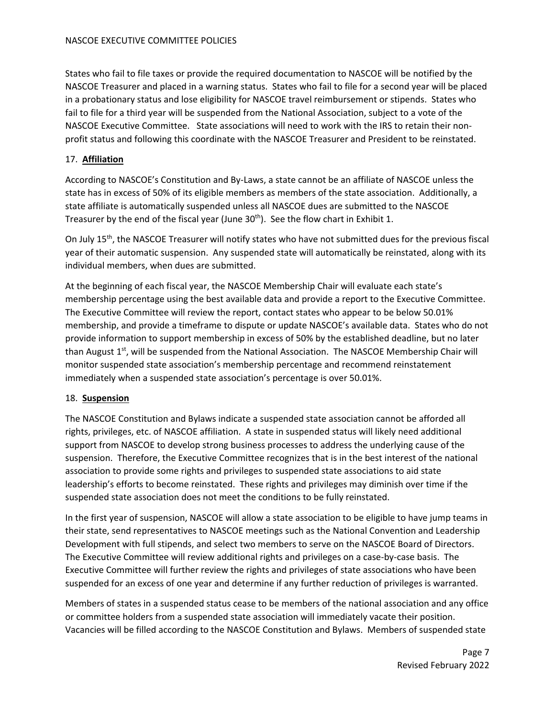States who fail to file taxes or provide the required documentation to NASCOE will be notified by the NASCOE Treasurer and placed in a warning status. States who fail to file for a second year will be placed in a probationary status and lose eligibility for NASCOE travel reimbursement or stipends. States who fail to file for a third year will be suspended from the National Association, subject to a vote of the NASCOE Executive Committee. State associations will need to work with the IRS to retain their nonprofit status and following this coordinate with the NASCOE Treasurer and President to be reinstated.

# 17. **Affiliation**

According to NASCOE's Constitution and By-Laws, a state cannot be an affiliate of NASCOE unless the state has in excess of 50% of its eligible members as members of the state association. Additionally, a state affiliate is automatically suspended unless all NASCOE dues are submitted to the NASCOE Treasurer by the end of the fiscal year (June  $30<sup>th</sup>$ ). See the flow chart in Exhibit 1.

On July 15<sup>th</sup>, the NASCOE Treasurer will notify states who have not submitted dues for the previous fiscal year of their automatic suspension. Any suspended state will automatically be reinstated, along with its individual members, when dues are submitted.

At the beginning of each fiscal year, the NASCOE Membership Chair will evaluate each state's membership percentage using the best available data and provide a report to the Executive Committee. The Executive Committee will review the report, contact states who appear to be below 50.01% membership, and provide a timeframe to dispute or update NASCOE's available data. States who do not provide information to support membership in excess of 50% by the established deadline, but no later than August  $1<sup>st</sup>$ , will be suspended from the National Association. The NASCOE Membership Chair will monitor suspended state association's membership percentage and recommend reinstatement immediately when a suspended state association's percentage is over 50.01%.

# 18. **Suspension**

The NASCOE Constitution and Bylaws indicate a suspended state association cannot be afforded all rights, privileges, etc. of NASCOE affiliation. A state in suspended status will likely need additional support from NASCOE to develop strong business processes to address the underlying cause of the suspension. Therefore, the Executive Committee recognizes that is in the best interest of the national association to provide some rights and privileges to suspended state associations to aid state leadership's efforts to become reinstated. These rights and privileges may diminish over time if the suspended state association does not meet the conditions to be fully reinstated.

In the first year of suspension, NASCOE will allow a state association to be eligible to have jump teams in their state, send representatives to NASCOE meetings such as the National Convention and Leadership Development with full stipends, and select two members to serve on the NASCOE Board of Directors. The Executive Committee will review additional rights and privileges on a case-by-case basis. The Executive Committee will further review the rights and privileges of state associations who have been suspended for an excess of one year and determine if any further reduction of privileges is warranted.

Members of states in a suspended status cease to be members of the national association and any office or committee holders from a suspended state association will immediately vacate their position. Vacancies will be filled according to the NASCOE Constitution and Bylaws. Members of suspended state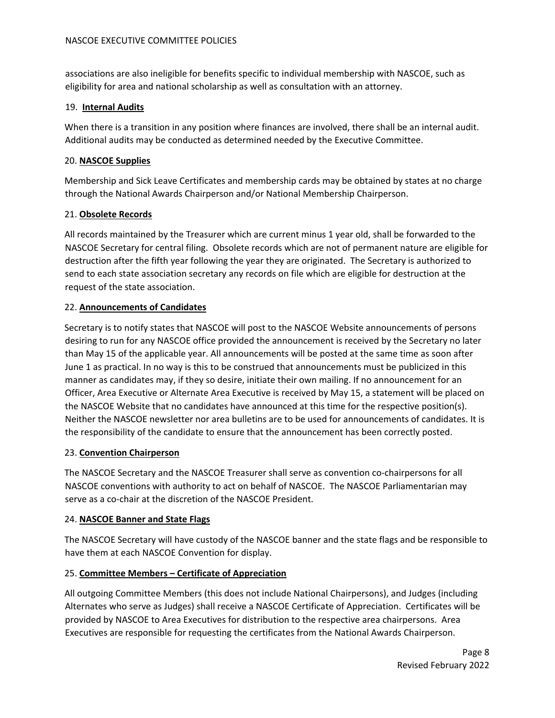associations are also ineligible for benefits specific to individual membership with NASCOE, such as eligibility for area and national scholarship as well as consultation with an attorney.

## 19. **Internal Audits**

When there is a transition in any position where finances are involved, there shall be an internal audit. Additional audits may be conducted as determined needed by the Executive Committee.

# 20. **NASCOE Supplies**

Membership and Sick Leave Certificates and membership cards may be obtained by states at no charge through the National Awards Chairperson and/or National Membership Chairperson.

# 21. **Obsolete Records**

All records maintained by the Treasurer which are current minus 1 year old, shall be forwarded to the NASCOE Secretary for central filing. Obsolete records which are not of permanent nature are eligible for destruction after the fifth year following the year they are originated. The Secretary is authorized to send to each state association secretary any records on file which are eligible for destruction at the request of the state association.

# 22. **Announcements of Candidates**

Secretary is to notify states that NASCOE will post to the NASCOE Website announcements of persons desiring to run for any NASCOE office provided the announcement is received by the Secretary no later than May 15 of the applicable year. All announcements will be posted at the same time as soon after June 1 as practical. In no way is this to be construed that announcements must be publicized in this manner as candidates may, if they so desire, initiate their own mailing. If no announcement for an Officer, Area Executive or Alternate Area Executive is received by May 15, a statement will be placed on the NASCOE Website that no candidates have announced at this time for the respective position(s). Neither the NASCOE newsletter nor area bulletins are to be used for announcements of candidates. It is the responsibility of the candidate to ensure that the announcement has been correctly posted.

## 23. **Convention Chairperson**

The NASCOE Secretary and the NASCOE Treasurer shall serve as convention co-chairpersons for all NASCOE conventions with authority to act on behalf of NASCOE. The NASCOE Parliamentarian may serve as a co-chair at the discretion of the NASCOE President.

## 24. **NASCOE Banner and State Flags**

The NASCOE Secretary will have custody of the NASCOE banner and the state flags and be responsible to have them at each NASCOE Convention for display.

# 25. **Committee Members – Certificate of Appreciation**

All outgoing Committee Members (this does not include National Chairpersons), and Judges (including Alternates who serve as Judges) shall receive a NASCOE Certificate of Appreciation. Certificates will be provided by NASCOE to Area Executives for distribution to the respective area chairpersons. Area Executives are responsible for requesting the certificates from the National Awards Chairperson.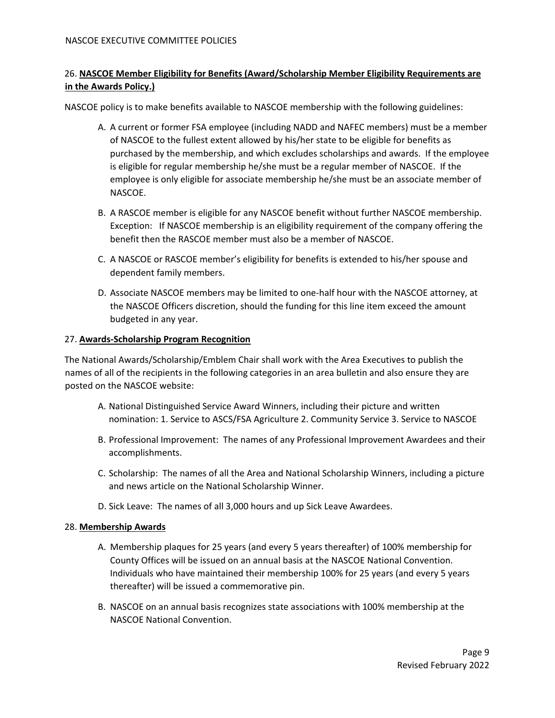# 26. **NASCOE Member Eligibility for Benefits (Award/Scholarship Member Eligibility Requirements are in the Awards Policy.)**

NASCOE policy is to make benefits available to NASCOE membership with the following guidelines:

- A. A current or former FSA employee (including NADD and NAFEC members) must be a member of NASCOE to the fullest extent allowed by his/her state to be eligible for benefits as purchased by the membership, and which excludes scholarships and awards. If the employee is eligible for regular membership he/she must be a regular member of NASCOE. If the employee is only eligible for associate membership he/she must be an associate member of NASCOE.
- B. A RASCOE member is eligible for any NASCOE benefit without further NASCOE membership. Exception: If NASCOE membership is an eligibility requirement of the company offering the benefit then the RASCOE member must also be a member of NASCOE.
- C. A NASCOE or RASCOE member's eligibility for benefits is extended to his/her spouse and dependent family members.
- D. Associate NASCOE members may be limited to one-half hour with the NASCOE attorney, at the NASCOE Officers discretion, should the funding for this line item exceed the amount budgeted in any year.

# 27. **Awards-Scholarship Program Recognition**

The National Awards/Scholarship/Emblem Chair shall work with the Area Executives to publish the names of all of the recipients in the following categories in an area bulletin and also ensure they are posted on the NASCOE website:

- A. National Distinguished Service Award Winners, including their picture and written nomination: 1. Service to ASCS/FSA Agriculture 2. Community Service 3. Service to NASCOE
- B. Professional Improvement: The names of any Professional Improvement Awardees and their accomplishments.
- C. Scholarship: The names of all the Area and National Scholarship Winners, including a picture and news article on the National Scholarship Winner.
- D. Sick Leave: The names of all 3,000 hours and up Sick Leave Awardees.

## 28. **Membership Awards**

- A. Membership plaques for 25 years (and every 5 years thereafter) of 100% membership for County Offices will be issued on an annual basis at the NASCOE National Convention. Individuals who have maintained their membership 100% for 25 years (and every 5 years thereafter) will be issued a commemorative pin.
- B. NASCOE on an annual basis recognizes state associations with 100% membership at the NASCOE National Convention.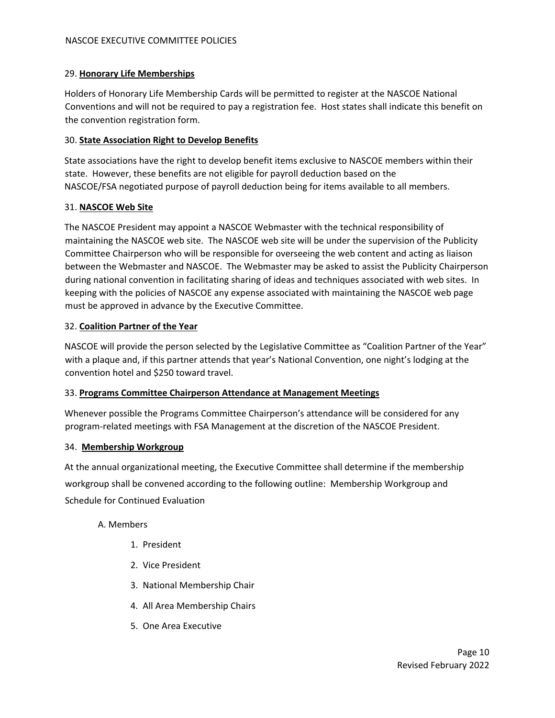# 29. **Honorary Life Memberships**

Holders of Honorary Life Membership Cards will be permitted to register at the NASCOE National Conventions and will not be required to pay a registration fee. Host states shall indicate this benefit on the convention registration form.

## 30. **State Association Right to Develop Benefits**

State associations have the right to develop benefit items exclusive to NASCOE members within their state. However, these benefits are not eligible for payroll deduction based on the NASCOE/FSA negotiated purpose of payroll deduction being for items available to all members.

# 31. **NASCOE Web Site**

The NASCOE President may appoint a NASCOE Webmaster with the technical responsibility of maintaining the NASCOE web site. The NASCOE web site will be under the supervision of the Publicity Committee Chairperson who will be responsible for overseeing the web content and acting as liaison between the Webmaster and NASCOE. The Webmaster may be asked to assist the Publicity Chairperson during national convention in facilitating sharing of ideas and techniques associated with web sites. In keeping with the policies of NASCOE any expense associated with maintaining the NASCOE web page must be approved in advance by the Executive Committee.

# 32. **Coalition Partner of the Year**

NASCOE will provide the person selected by the Legislative Committee as "Coalition Partner of the Year" with a plaque and, if this partner attends that year's National Convention, one night's lodging at the convention hotel and \$250 toward travel.

## 33. **Programs Committee Chairperson Attendance at Management Meetings**

Whenever possible the Programs Committee Chairperson's attendance will be considered for any program-related meetings with FSA Management at the discretion of the NASCOE President.

## 34. **Membership Workgroup**

At the annual organizational meeting, the Executive Committee shall determine if the membership workgroup shall be convened according to the following outline: Membership Workgroup and Schedule for Continued Evaluation

## A. Members

- 1. President
- 2. Vice President
- 3. National Membership Chair
- 4. All Area Membership Chairs
- 5. One Area Executive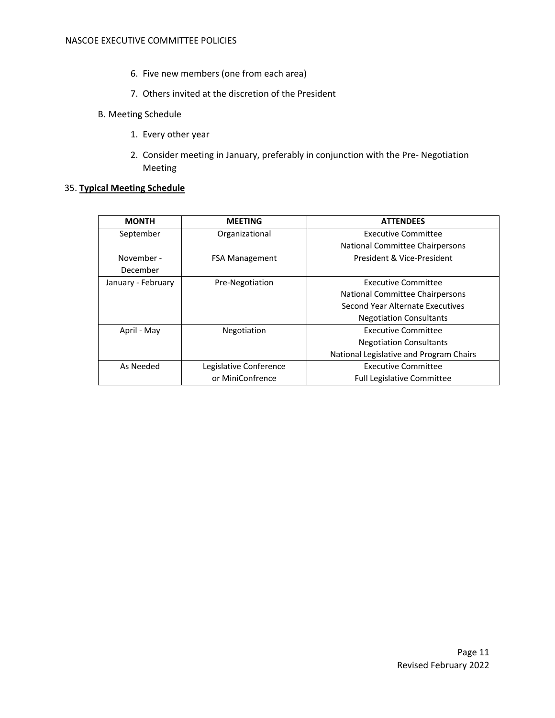- 6. Five new members (one from each area)
- 7. Others invited at the discretion of the President
- B. Meeting Schedule
	- 1. Every other year
	- 2. Consider meeting in January, preferably in conjunction with the Pre- Negotiation Meeting

#### 35. **Typical Meeting Schedule**

| <b>MONTH</b>       | <b>MEETING</b>         | <b>ATTENDEES</b>                        |
|--------------------|------------------------|-----------------------------------------|
| September          | Organizational         | Executive Committee                     |
|                    |                        | National Committee Chairpersons         |
| November -         | <b>FSA Management</b>  | President & Vice-President              |
| December           |                        |                                         |
| January - February | Pre-Negotiation        | <b>Executive Committee</b>              |
|                    |                        | National Committee Chairpersons         |
|                    |                        | Second Year Alternate Executives        |
|                    |                        | <b>Negotiation Consultants</b>          |
| April - May        | Negotiation            | Executive Committee                     |
|                    |                        | <b>Negotiation Consultants</b>          |
|                    |                        | National Legislative and Program Chairs |
| As Needed          | Legislative Conference | Executive Committee                     |
|                    | or MiniConfrence       | <b>Full Legislative Committee</b>       |